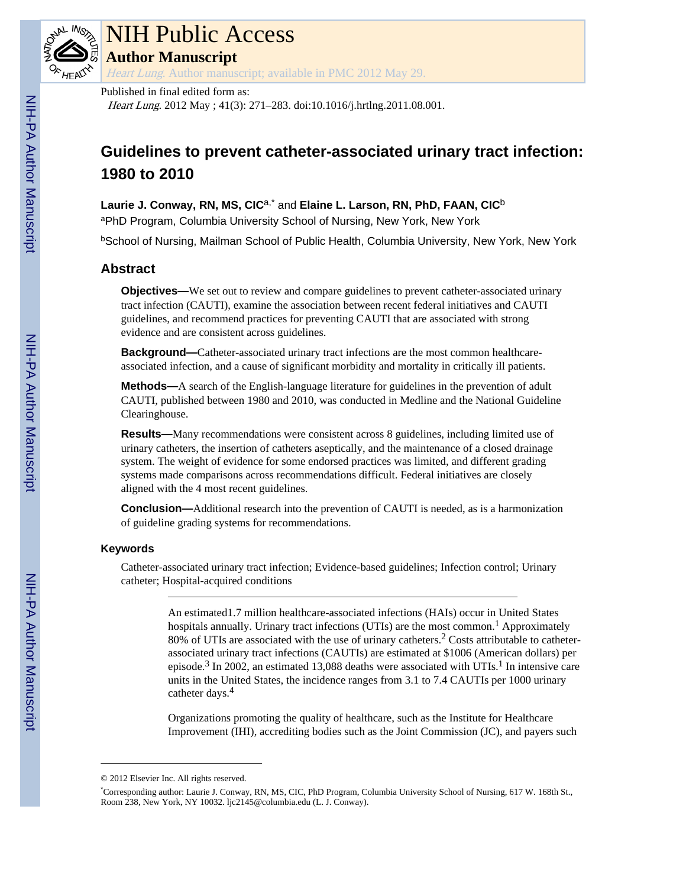

# NIH Public Access

**Author Manuscript**

Heart Lung. Author manuscript; available in PMC 2012 May 29.

#### Published in final edited form as:

Heart Lung. 2012 May ; 41(3): 271–283. doi:10.1016/j.hrtlng.2011.08.001.

# **Guidelines to prevent catheter-associated urinary tract infection: 1980 to 2010**

**Laurie J. Conway, RN, MS, CIC**a,\* and **Elaine L. Larson, RN, PhD, FAAN, CIC**<sup>b</sup>

aPhD Program, Columbia University School of Nursing, New York, New York

**bSchool of Nursing, Mailman School of Public Health, Columbia University, New York, New York** 

### **Abstract**

**Objectives—We set out to review and compare guidelines to prevent catheter-associated urinary** tract infection (CAUTI), examine the association between recent federal initiatives and CAUTI guidelines, and recommend practices for preventing CAUTI that are associated with strong evidence and are consistent across guidelines.

**Background—**Catheter-associated urinary tract infections are the most common healthcareassociated infection, and a cause of significant morbidity and mortality in critically ill patients.

**Methods—**A search of the English-language literature for guidelines in the prevention of adult CAUTI, published between 1980 and 2010, was conducted in Medline and the National Guideline Clearinghouse.

**Results—**Many recommendations were consistent across 8 guidelines, including limited use of urinary catheters, the insertion of catheters aseptically, and the maintenance of a closed drainage system. The weight of evidence for some endorsed practices was limited, and different grading systems made comparisons across recommendations difficult. Federal initiatives are closely aligned with the 4 most recent guidelines.

**Conclusion—**Additional research into the prevention of CAUTI is needed, as is a harmonization of guideline grading systems for recommendations.

#### **Keywords**

Catheter-associated urinary tract infection; Evidence-based guidelines; Infection control; Urinary catheter; Hospital-acquired conditions

> An estimated1.7 million healthcare-associated infections (HAIs) occur in United States hospitals annually. Urinary tract infections (UTIs) are the most common.<sup>1</sup> Approximately  $80\%$  of UTIs are associated with the use of urinary catheters.<sup>2</sup> Costs attributable to catheterassociated urinary tract infections (CAUTIs) are estimated at \$1006 (American dollars) per episode.<sup>3</sup> In 2002, an estimated 13,088 deaths were associated with UTIs.<sup>1</sup> In intensive care units in the United States, the incidence ranges from 3.1 to 7.4 CAUTIs per 1000 urinary catheter days.<sup>4</sup>

> Organizations promoting the quality of healthcare, such as the Institute for Healthcare Improvement (IHI), accrediting bodies such as the Joint Commission (JC), and payers such

<sup>© 2012</sup> Elsevier Inc. All rights reserved.

<sup>\*</sup>Corresponding author: Laurie J. Conway, RN, MS, CIC, PhD Program, Columbia University School of Nursing, 617 W. 168th St., Room 238, New York, NY 10032. ljc2145@columbia.edu (L. J. Conway).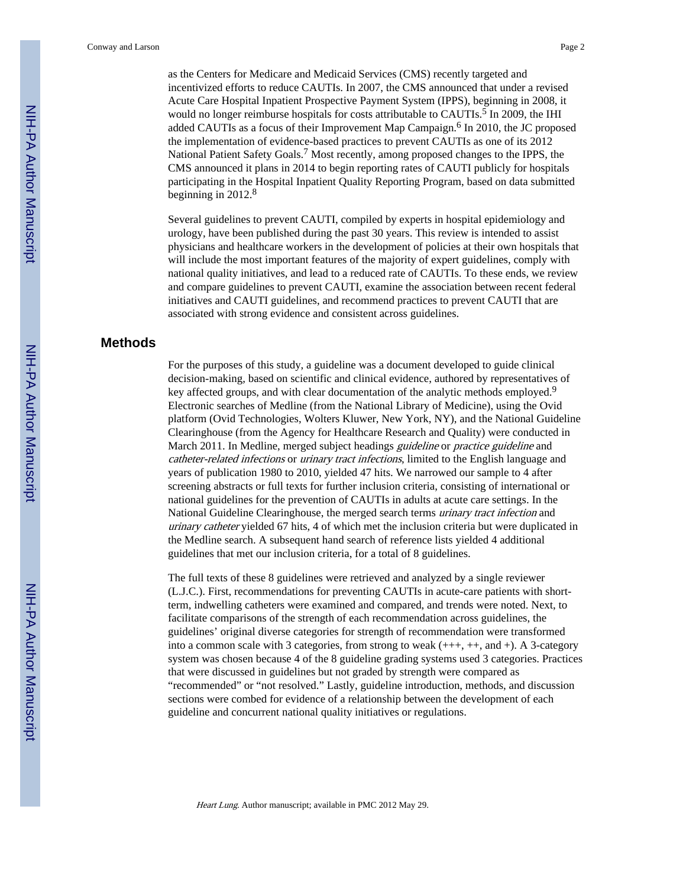as the Centers for Medicare and Medicaid Services (CMS) recently targeted and incentivized efforts to reduce CAUTIs. In 2007, the CMS announced that under a revised Acute Care Hospital Inpatient Prospective Payment System (IPPS), beginning in 2008, it would no longer reimburse hospitals for costs attributable to CAUTIs.<sup>5</sup> In 2009, the IHI added CAUTIs as a focus of their Improvement Map Campaign.<sup>6</sup> In 2010, the JC proposed the implementation of evidence-based practices to prevent CAUTIs as one of its 2012 National Patient Safety Goals.<sup>7</sup> Most recently, among proposed changes to the IPPS, the CMS announced it plans in 2014 to begin reporting rates of CAUTI publicly for hospitals participating in the Hospital Inpatient Quality Reporting Program, based on data submitted beginning in  $2012<sup>8</sup>$ 

Several guidelines to prevent CAUTI, compiled by experts in hospital epidemiology and urology, have been published during the past 30 years. This review is intended to assist physicians and healthcare workers in the development of policies at their own hospitals that will include the most important features of the majority of expert guidelines, comply with national quality initiatives, and lead to a reduced rate of CAUTIs. To these ends, we review and compare guidelines to prevent CAUTI, examine the association between recent federal initiatives and CAUTI guidelines, and recommend practices to prevent CAUTI that are associated with strong evidence and consistent across guidelines.

#### **Methods**

For the purposes of this study, a guideline was a document developed to guide clinical decision-making, based on scientific and clinical evidence, authored by representatives of key affected groups, and with clear documentation of the analytic methods employed.<sup>9</sup> Electronic searches of Medline (from the National Library of Medicine), using the Ovid platform (Ovid Technologies, Wolters Kluwer, New York, NY), and the National Guideline Clearinghouse (from the Agency for Healthcare Research and Quality) were conducted in March 2011. In Medline, merged subject headings *guideline* or *practice guideline* and catheter-related infections or urinary tract infections, limited to the English language and years of publication 1980 to 2010, yielded 47 hits. We narrowed our sample to 4 after screening abstracts or full texts for further inclusion criteria, consisting of international or national guidelines for the prevention of CAUTIs in adults at acute care settings. In the National Guideline Clearinghouse, the merged search terms urinary tract infection and urinary catheter yielded 67 hits, 4 of which met the inclusion criteria but were duplicated in the Medline search. A subsequent hand search of reference lists yielded 4 additional guidelines that met our inclusion criteria, for a total of 8 guidelines.

The full texts of these 8 guidelines were retrieved and analyzed by a single reviewer (L.J.C.). First, recommendations for preventing CAUTIs in acute-care patients with shortterm, indwelling catheters were examined and compared, and trends were noted. Next, to facilitate comparisons of the strength of each recommendation across guidelines, the guidelines' original diverse categories for strength of recommendation were transformed into a common scale with 3 categories, from strong to weak (+++, ++, and +). A 3-category system was chosen because 4 of the 8 guideline grading systems used 3 categories. Practices that were discussed in guidelines but not graded by strength were compared as "recommended" or "not resolved." Lastly, guideline introduction, methods, and discussion sections were combed for evidence of a relationship between the development of each guideline and concurrent national quality initiatives or regulations.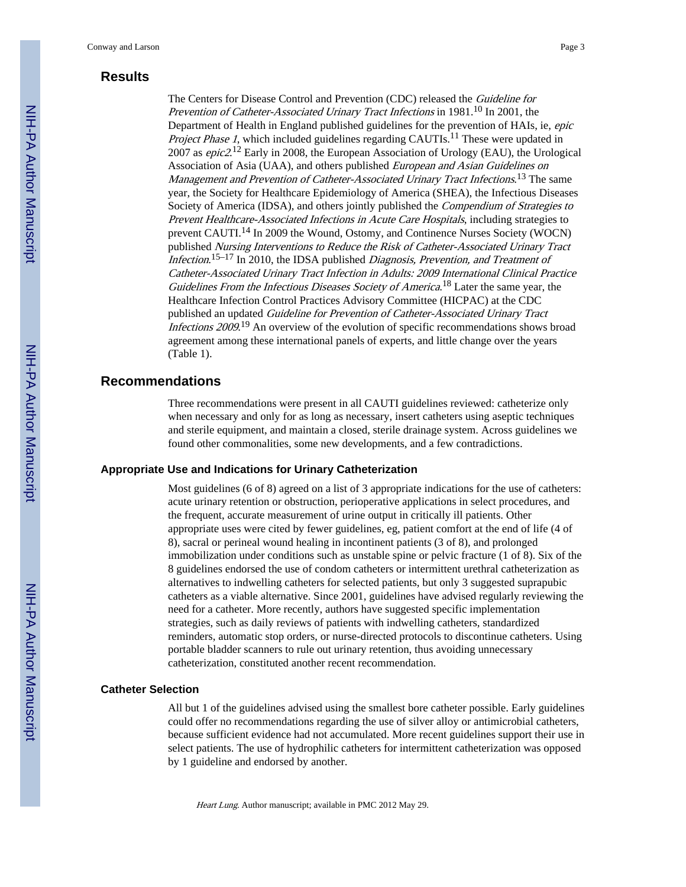## **Results**

The Centers for Disease Control and Prevention (CDC) released the Guideline for Prevention of Catheter-Associated Urinary Tract Infections in 1981.<sup>10</sup> In 2001, the Department of Health in England published guidelines for the prevention of HAIs, ie, epic Project Phase 1, which included guidelines regarding CAUTIs.<sup>11</sup> These were updated in 2007 as *epic2*.<sup>12</sup> Early in 2008, the European Association of Urology (EAU), the Urological Association of Asia (UAA), and others published European and Asian Guidelines on Management and Prevention of Catheter-Associated Urinary Tract Infections.<sup>13</sup> The same year, the Society for Healthcare Epidemiology of America (SHEA), the Infectious Diseases Society of America (IDSA), and others jointly published the *Compendium of Strategies to* Prevent Healthcare-Associated Infections in Acute Care Hospitals, including strategies to prevent CAUTI.14 In 2009 the Wound, Ostomy, and Continence Nurses Society (WOCN) published Nursing Interventions to Reduce the Risk of Catheter-Associated Urinary Tract Infection.<sup>15-17</sup> In 2010, the IDSA published Diagnosis, Prevention, and Treatment of Catheter-Associated Urinary Tract Infection in Adults: 2009 International Clinical Practice Guidelines From the Infectious Diseases Society of America.<sup>18</sup> Later the same year, the Healthcare Infection Control Practices Advisory Committee (HICPAC) at the CDC published an updated Guideline for Prevention of Catheter-Associated Urinary Tract Infections 2009.<sup>19</sup> An overview of the evolution of specific recommendations shows broad agreement among these international panels of experts, and little change over the years (Table 1).

#### **Recommendations**

Three recommendations were present in all CAUTI guidelines reviewed: catheterize only when necessary and only for as long as necessary, insert catheters using aseptic techniques and sterile equipment, and maintain a closed, sterile drainage system. Across guidelines we found other commonalities, some new developments, and a few contradictions.

#### **Appropriate Use and Indications for Urinary Catheterization**

Most guidelines (6 of 8) agreed on a list of 3 appropriate indications for the use of catheters: acute urinary retention or obstruction, perioperative applications in select procedures, and the frequent, accurate measurement of urine output in critically ill patients. Other appropriate uses were cited by fewer guidelines, eg, patient comfort at the end of life (4 of 8), sacral or perineal wound healing in incontinent patients (3 of 8), and prolonged immobilization under conditions such as unstable spine or pelvic fracture (1 of 8). Six of the 8 guidelines endorsed the use of condom catheters or intermittent urethral catheterization as alternatives to indwelling catheters for selected patients, but only 3 suggested suprapubic catheters as a viable alternative. Since 2001, guidelines have advised regularly reviewing the need for a catheter. More recently, authors have suggested specific implementation strategies, such as daily reviews of patients with indwelling catheters, standardized reminders, automatic stop orders, or nurse-directed protocols to discontinue catheters. Using portable bladder scanners to rule out urinary retention, thus avoiding unnecessary catheterization, constituted another recent recommendation.

#### **Catheter Selection**

All but 1 of the guidelines advised using the smallest bore catheter possible. Early guidelines could offer no recommendations regarding the use of silver alloy or antimicrobial catheters, because sufficient evidence had not accumulated. More recent guidelines support their use in select patients. The use of hydrophilic catheters for intermittent catheterization was opposed by 1 guideline and endorsed by another.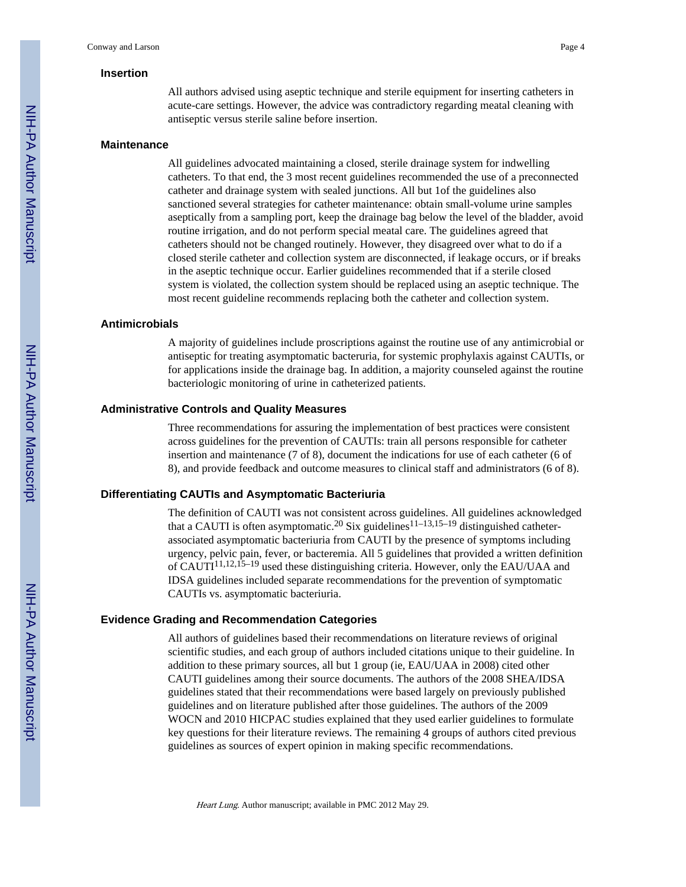#### **Insertion**

All authors advised using aseptic technique and sterile equipment for inserting catheters in acute-care settings. However, the advice was contradictory regarding meatal cleaning with antiseptic versus sterile saline before insertion.

#### **Maintenance**

All guidelines advocated maintaining a closed, sterile drainage system for indwelling catheters. To that end, the 3 most recent guidelines recommended the use of a preconnected catheter and drainage system with sealed junctions. All but 1of the guidelines also sanctioned several strategies for catheter maintenance: obtain small-volume urine samples aseptically from a sampling port, keep the drainage bag below the level of the bladder, avoid routine irrigation, and do not perform special meatal care. The guidelines agreed that catheters should not be changed routinely. However, they disagreed over what to do if a closed sterile catheter and collection system are disconnected, if leakage occurs, or if breaks in the aseptic technique occur. Earlier guidelines recommended that if a sterile closed system is violated, the collection system should be replaced using an aseptic technique. The most recent guideline recommends replacing both the catheter and collection system.

#### **Antimicrobials**

A majority of guidelines include proscriptions against the routine use of any antimicrobial or antiseptic for treating asymptomatic bacteruria, for systemic prophylaxis against CAUTIs, or for applications inside the drainage bag. In addition, a majority counseled against the routine bacteriologic monitoring of urine in catheterized patients.

#### **Administrative Controls and Quality Measures**

Three recommendations for assuring the implementation of best practices were consistent across guidelines for the prevention of CAUTIs: train all persons responsible for catheter insertion and maintenance (7 of 8), document the indications for use of each catheter (6 of 8), and provide feedback and outcome measures to clinical staff and administrators (6 of 8).

#### **Differentiating CAUTIs and Asymptomatic Bacteriuria**

The definition of CAUTI was not consistent across guidelines. All guidelines acknowledged that a CAUTI is often asymptomatic.<sup>20</sup> Six guidelines<sup>11–13,15–19</sup> distinguished catheterassociated asymptomatic bacteriuria from CAUTI by the presence of symptoms including urgency, pelvic pain, fever, or bacteremia. All 5 guidelines that provided a written definition of CAUTI11,12,15–19 used these distinguishing criteria. However, only the EAU/UAA and IDSA guidelines included separate recommendations for the prevention of symptomatic CAUTIs vs. asymptomatic bacteriuria.

#### **Evidence Grading and Recommendation Categories**

All authors of guidelines based their recommendations on literature reviews of original scientific studies, and each group of authors included citations unique to their guideline. In addition to these primary sources, all but 1 group (ie, EAU/UAA in 2008) cited other CAUTI guidelines among their source documents. The authors of the 2008 SHEA/IDSA guidelines stated that their recommendations were based largely on previously published guidelines and on literature published after those guidelines. The authors of the 2009 WOCN and 2010 HICPAC studies explained that they used earlier guidelines to formulate key questions for their literature reviews. The remaining 4 groups of authors cited previous guidelines as sources of expert opinion in making specific recommendations.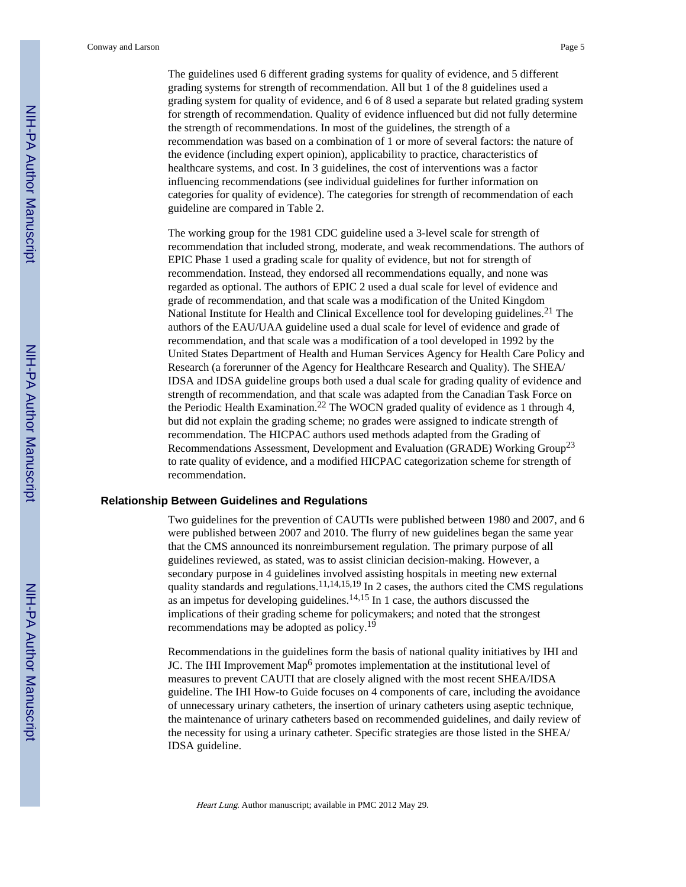The guidelines used 6 different grading systems for quality of evidence, and 5 different grading systems for strength of recommendation. All but 1 of the 8 guidelines used a grading system for quality of evidence, and 6 of 8 used a separate but related grading system for strength of recommendation. Quality of evidence influenced but did not fully determine the strength of recommendations. In most of the guidelines, the strength of a recommendation was based on a combination of 1 or more of several factors: the nature of the evidence (including expert opinion), applicability to practice, characteristics of healthcare systems, and cost. In 3 guidelines, the cost of interventions was a factor influencing recommendations (see individual guidelines for further information on categories for quality of evidence). The categories for strength of recommendation of each guideline are compared in Table 2.

The working group for the 1981 CDC guideline used a 3-level scale for strength of recommendation that included strong, moderate, and weak recommendations. The authors of EPIC Phase 1 used a grading scale for quality of evidence, but not for strength of recommendation. Instead, they endorsed all recommendations equally, and none was regarded as optional. The authors of EPIC 2 used a dual scale for level of evidence and grade of recommendation, and that scale was a modification of the United Kingdom National Institute for Health and Clinical Excellence tool for developing guidelines.<sup>21</sup> The authors of the EAU/UAA guideline used a dual scale for level of evidence and grade of recommendation, and that scale was a modification of a tool developed in 1992 by the United States Department of Health and Human Services Agency for Health Care Policy and Research (a forerunner of the Agency for Healthcare Research and Quality). The SHEA/ IDSA and IDSA guideline groups both used a dual scale for grading quality of evidence and strength of recommendation, and that scale was adapted from the Canadian Task Force on the Periodic Health Examination.<sup>22</sup> The WOCN graded quality of evidence as 1 through 4, but did not explain the grading scheme; no grades were assigned to indicate strength of recommendation. The HICPAC authors used methods adapted from the Grading of Recommendations Assessment, Development and Evaluation (GRADE) Working Group<sup>23</sup> to rate quality of evidence, and a modified HICPAC categorization scheme for strength of recommendation.

#### **Relationship Between Guidelines and Regulations**

Two guidelines for the prevention of CAUTIs were published between 1980 and 2007, and 6 were published between 2007 and 2010. The flurry of new guidelines began the same year that the CMS announced its nonreimbursement regulation. The primary purpose of all guidelines reviewed, as stated, was to assist clinician decision-making. However, a secondary purpose in 4 guidelines involved assisting hospitals in meeting new external quality standards and regulations.<sup>11,14,15,19</sup> In 2 cases, the authors cited the CMS regulations as an impetus for developing guidelines.<sup>14,15</sup> In 1 case, the authors discussed the implications of their grading scheme for policymakers; and noted that the strongest recommendations may be adopted as policy.<sup>19</sup>

Recommendations in the guidelines form the basis of national quality initiatives by IHI and JC. The IHI Improvement Map<sup>6</sup> promotes implementation at the institutional level of measures to prevent CAUTI that are closely aligned with the most recent SHEA/IDSA guideline. The IHI How-to Guide focuses on 4 components of care, including the avoidance of unnecessary urinary catheters, the insertion of urinary catheters using aseptic technique, the maintenance of urinary catheters based on recommended guidelines, and daily review of the necessity for using a urinary catheter. Specific strategies are those listed in the SHEA/ IDSA guideline.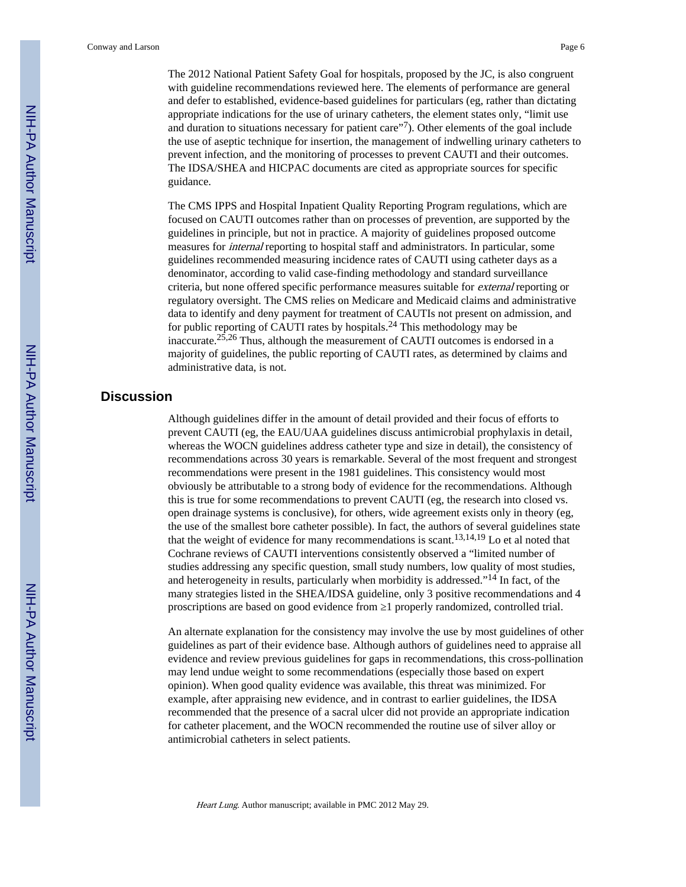The 2012 National Patient Safety Goal for hospitals, proposed by the JC, is also congruent with guideline recommendations reviewed here. The elements of performance are general and defer to established, evidence-based guidelines for particulars (eg, rather than dictating appropriate indications for the use of urinary catheters, the element states only, "limit use and duration to situations necessary for patient care"<sup>7</sup>). Other elements of the goal include the use of aseptic technique for insertion, the management of indwelling urinary catheters to prevent infection, and the monitoring of processes to prevent CAUTI and their outcomes. The IDSA/SHEA and HICPAC documents are cited as appropriate sources for specific guidance.

The CMS IPPS and Hospital Inpatient Quality Reporting Program regulations, which are focused on CAUTI outcomes rather than on processes of prevention, are supported by the guidelines in principle, but not in practice. A majority of guidelines proposed outcome measures for internal reporting to hospital staff and administrators. In particular, some guidelines recommended measuring incidence rates of CAUTI using catheter days as a denominator, according to valid case-finding methodology and standard surveillance criteria, but none offered specific performance measures suitable for external reporting or regulatory oversight. The CMS relies on Medicare and Medicaid claims and administrative data to identify and deny payment for treatment of CAUTIs not present on admission, and for public reporting of CAUTI rates by hospitals.24 This methodology may be inaccurate.<sup>25,26</sup> Thus, although the measurement of CAUTI outcomes is endorsed in a majority of guidelines, the public reporting of CAUTI rates, as determined by claims and administrative data, is not.

#### **Discussion**

Although guidelines differ in the amount of detail provided and their focus of efforts to prevent CAUTI (eg, the EAU/UAA guidelines discuss antimicrobial prophylaxis in detail, whereas the WOCN guidelines address catheter type and size in detail), the consistency of recommendations across 30 years is remarkable. Several of the most frequent and strongest recommendations were present in the 1981 guidelines. This consistency would most obviously be attributable to a strong body of evidence for the recommendations. Although this is true for some recommendations to prevent CAUTI (eg, the research into closed vs. open drainage systems is conclusive), for others, wide agreement exists only in theory (eg, the use of the smallest bore catheter possible). In fact, the authors of several guidelines state that the weight of evidence for many recommendations is scant.<sup>13,14,19</sup> Lo et al noted that Cochrane reviews of CAUTI interventions consistently observed a "limited number of studies addressing any specific question, small study numbers, low quality of most studies, and heterogeneity in results, particularly when morbidity is addressed."14 In fact, of the many strategies listed in the SHEA/IDSA guideline, only 3 positive recommendations and 4 proscriptions are based on good evidence from 1 properly randomized, controlled trial.

An alternate explanation for the consistency may involve the use by most guidelines of other guidelines as part of their evidence base. Although authors of guidelines need to appraise all evidence and review previous guidelines for gaps in recommendations, this cross-pollination may lend undue weight to some recommendations (especially those based on expert opinion). When good quality evidence was available, this threat was minimized. For example, after appraising new evidence, and in contrast to earlier guidelines, the IDSA recommended that the presence of a sacral ulcer did not provide an appropriate indication for catheter placement, and the WOCN recommended the routine use of silver alloy or antimicrobial catheters in select patients.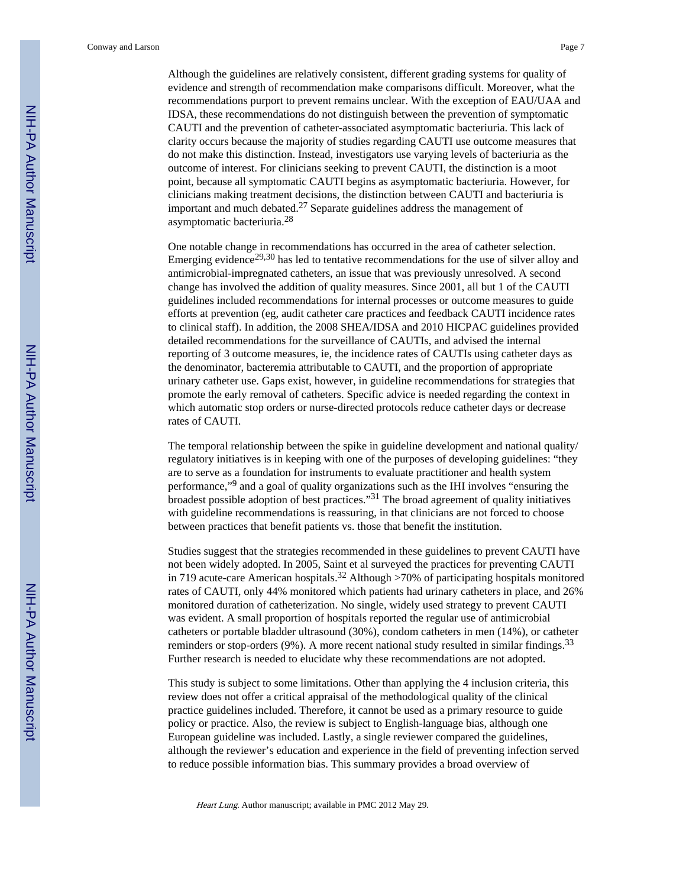Although the guidelines are relatively consistent, different grading systems for quality of evidence and strength of recommendation make comparisons difficult. Moreover, what the recommendations purport to prevent remains unclear. With the exception of EAU/UAA and IDSA, these recommendations do not distinguish between the prevention of symptomatic CAUTI and the prevention of catheter-associated asymptomatic bacteriuria. This lack of clarity occurs because the majority of studies regarding CAUTI use outcome measures that do not make this distinction. Instead, investigators use varying levels of bacteriuria as the outcome of interest. For clinicians seeking to prevent CAUTI, the distinction is a moot point, because all symptomatic CAUTI begins as asymptomatic bacteriuria. However, for clinicians making treatment decisions, the distinction between CAUTI and bacteriuria is important and much debated.<sup>27</sup> Separate guidelines address the management of asymptomatic bacteriuria.<sup>28</sup>

One notable change in recommendations has occurred in the area of catheter selection. Emerging evidence<sup>29,30</sup> has led to tentative recommendations for the use of silver alloy and antimicrobial-impregnated catheters, an issue that was previously unresolved. A second change has involved the addition of quality measures. Since 2001, all but 1 of the CAUTI guidelines included recommendations for internal processes or outcome measures to guide efforts at prevention (eg, audit catheter care practices and feedback CAUTI incidence rates to clinical staff). In addition, the 2008 SHEA/IDSA and 2010 HICPAC guidelines provided detailed recommendations for the surveillance of CAUTIs, and advised the internal reporting of 3 outcome measures, ie, the incidence rates of CAUTIs using catheter days as the denominator, bacteremia attributable to CAUTI, and the proportion of appropriate urinary catheter use. Gaps exist, however, in guideline recommendations for strategies that promote the early removal of catheters. Specific advice is needed regarding the context in which automatic stop orders or nurse-directed protocols reduce catheter days or decrease rates of CAUTI.

The temporal relationship between the spike in guideline development and national quality/ regulatory initiatives is in keeping with one of the purposes of developing guidelines: "they are to serve as a foundation for instruments to evaluate practitioner and health system performance,"<sup>9</sup> and a goal of quality organizations such as the IHI involves "ensuring the broadest possible adoption of best practices."31 The broad agreement of quality initiatives with guideline recommendations is reassuring, in that clinicians are not forced to choose between practices that benefit patients vs. those that benefit the institution.

Studies suggest that the strategies recommended in these guidelines to prevent CAUTI have not been widely adopted. In 2005, Saint et al surveyed the practices for preventing CAUTI in 719 acute-care American hospitals.<sup>32</sup> Although >70% of participating hospitals monitored rates of CAUTI, only 44% monitored which patients had urinary catheters in place, and 26% monitored duration of catheterization. No single, widely used strategy to prevent CAUTI was evident. A small proportion of hospitals reported the regular use of antimicrobial catheters or portable bladder ultrasound (30%), condom catheters in men (14%), or catheter reminders or stop-orders  $(9\%)$ . A more recent national study resulted in similar findings.<sup>33</sup> Further research is needed to elucidate why these recommendations are not adopted.

This study is subject to some limitations. Other than applying the 4 inclusion criteria, this review does not offer a critical appraisal of the methodological quality of the clinical practice guidelines included. Therefore, it cannot be used as a primary resource to guide policy or practice. Also, the review is subject to English-language bias, although one European guideline was included. Lastly, a single reviewer compared the guidelines, although the reviewer's education and experience in the field of preventing infection served to reduce possible information bias. This summary provides a broad overview of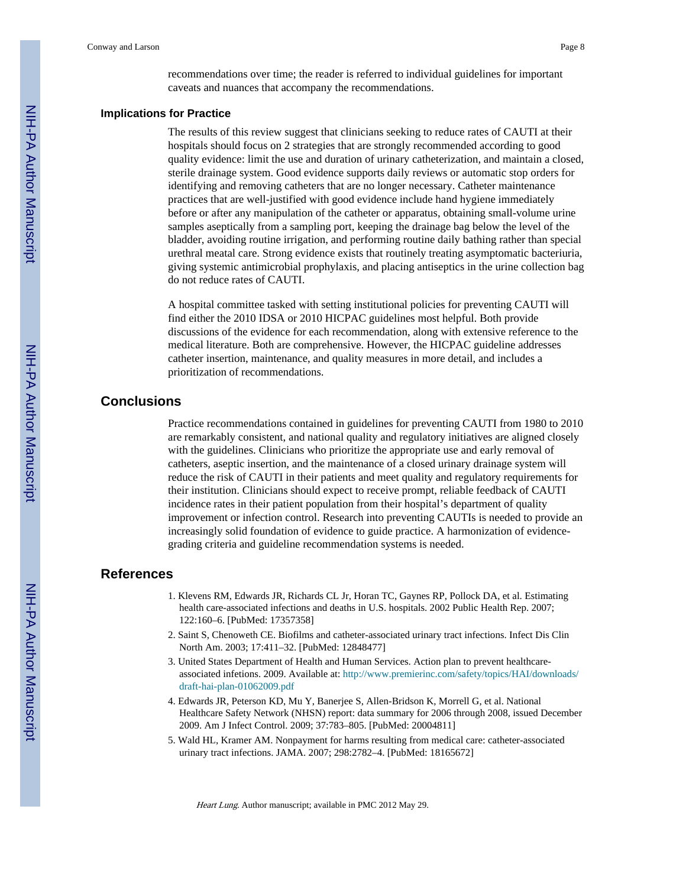recommendations over time; the reader is referred to individual guidelines for important caveats and nuances that accompany the recommendations.

#### **Implications for Practice**

The results of this review suggest that clinicians seeking to reduce rates of CAUTI at their hospitals should focus on 2 strategies that are strongly recommended according to good quality evidence: limit the use and duration of urinary catheterization, and maintain a closed, sterile drainage system. Good evidence supports daily reviews or automatic stop orders for identifying and removing catheters that are no longer necessary. Catheter maintenance practices that are well-justified with good evidence include hand hygiene immediately before or after any manipulation of the catheter or apparatus, obtaining small-volume urine samples aseptically from a sampling port, keeping the drainage bag below the level of the bladder, avoiding routine irrigation, and performing routine daily bathing rather than special urethral meatal care. Strong evidence exists that routinely treating asymptomatic bacteriuria, giving systemic antimicrobial prophylaxis, and placing antiseptics in the urine collection bag do not reduce rates of CAUTI.

A hospital committee tasked with setting institutional policies for preventing CAUTI will find either the 2010 IDSA or 2010 HICPAC guidelines most helpful. Both provide discussions of the evidence for each recommendation, along with extensive reference to the medical literature. Both are comprehensive. However, the HICPAC guideline addresses catheter insertion, maintenance, and quality measures in more detail, and includes a prioritization of recommendations.

#### **Conclusions**

Practice recommendations contained in guidelines for preventing CAUTI from 1980 to 2010 are remarkably consistent, and national quality and regulatory initiatives are aligned closely with the guidelines. Clinicians who prioritize the appropriate use and early removal of catheters, aseptic insertion, and the maintenance of a closed urinary drainage system will reduce the risk of CAUTI in their patients and meet quality and regulatory requirements for their institution. Clinicians should expect to receive prompt, reliable feedback of CAUTI incidence rates in their patient population from their hospital's department of quality improvement or infection control. Research into preventing CAUTIs is needed to provide an increasingly solid foundation of evidence to guide practice. A harmonization of evidencegrading criteria and guideline recommendation systems is needed.

#### **References**

- 1. Klevens RM, Edwards JR, Richards CL Jr, Horan TC, Gaynes RP, Pollock DA, et al. Estimating health care-associated infections and deaths in U.S. hospitals. 2002 Public Health Rep. 2007; 122:160–6. [PubMed: 17357358]
- 2. Saint S, Chenoweth CE. Biofilms and catheter-associated urinary tract infections. Infect Dis Clin North Am. 2003; 17:411–32. [PubMed: 12848477]
- 3. United States Department of Health and Human Services. Action plan to prevent healthcareassociated infetions. 2009. Available at: [http://www.premierinc.com/safety/topics/HAI/downloads/](http://www.premierinc.com/safety/topics/HAI/downloads/draft-hai-plan-01062009.pdf) [draft-hai-plan-01062009.pdf](http://www.premierinc.com/safety/topics/HAI/downloads/draft-hai-plan-01062009.pdf)
- 4. Edwards JR, Peterson KD, Mu Y, Banerjee S, Allen-Bridson K, Morrell G, et al. National Healthcare Safety Network (NHSN) report: data summary for 2006 through 2008, issued December 2009. Am J Infect Control. 2009; 37:783–805. [PubMed: 20004811]
- 5. Wald HL, Kramer AM. Nonpayment for harms resulting from medical care: catheter-associated urinary tract infections. JAMA. 2007; 298:2782–4. [PubMed: 18165672]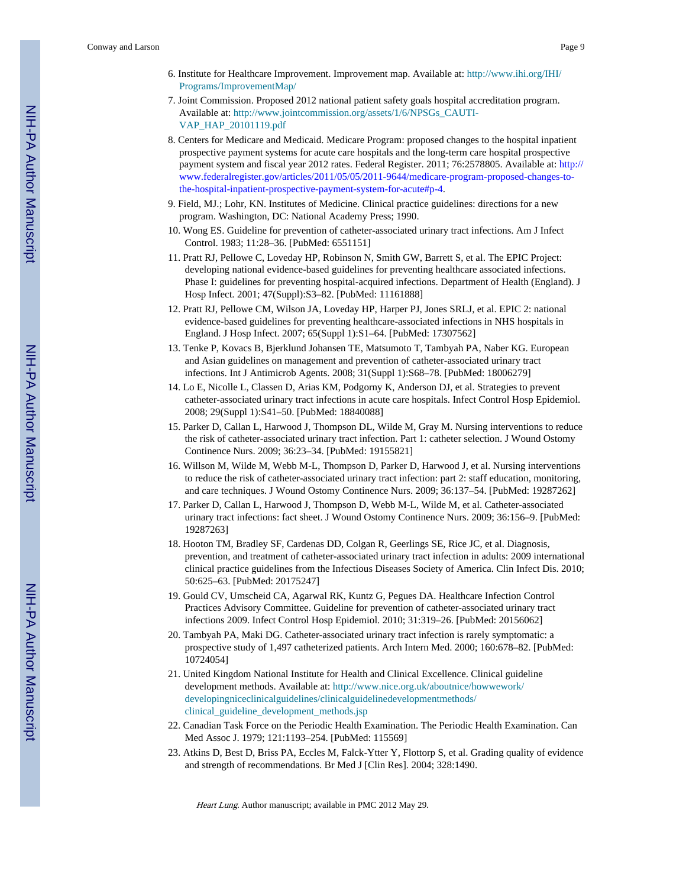- 6. Institute for Healthcare Improvement. Improvement map. Available at: [http://www.ihi.org/IHI/](http://www.ihi.org/IHI/Programs/ImprovementMap/) [Programs/ImprovementMap/](http://www.ihi.org/IHI/Programs/ImprovementMap/)
- 7. Joint Commission. Proposed 2012 national patient safety goals hospital accreditation program. Available at: [http://www.jointcommission.org/assets/1/6/NPSGs\\_CAUTI-](http://www.jointcommission.org/assets/1/6/NPSGs_CAUTI-VAP_HAP_20101119.pdf)[VAP\\_HAP\\_20101119.pdf](http://www.jointcommission.org/assets/1/6/NPSGs_CAUTI-VAP_HAP_20101119.pdf)
- 8. Centers for Medicare and Medicaid. Medicare Program: proposed changes to the hospital inpatient prospective payment systems for acute care hospitals and the long-term care hospital prospective payment system and fiscal year 2012 rates. Federal Register. 2011; 76:2578805. Available at: [http://](http://www.federalregister.gov/articles/2011/05/05/2011-9644/medicare-program-proposed-changes-to-the-hospital-inpatient-prospective-payment-system-for-acute#p-4) [www.federalregister.gov/articles/2011/05/05/2011-9644/medicare-program-proposed-changes-to](http://www.federalregister.gov/articles/2011/05/05/2011-9644/medicare-program-proposed-changes-to-the-hospital-inpatient-prospective-payment-system-for-acute#p-4)[the-hospital-inpatient-prospective-payment-system-for-acute#p-4](http://www.federalregister.gov/articles/2011/05/05/2011-9644/medicare-program-proposed-changes-to-the-hospital-inpatient-prospective-payment-system-for-acute#p-4).
- 9. Field, MJ.; Lohr, KN. Institutes of Medicine. Clinical practice guidelines: directions for a new program. Washington, DC: National Academy Press; 1990.
- 10. Wong ES. Guideline for prevention of catheter-associated urinary tract infections. Am J Infect Control. 1983; 11:28–36. [PubMed: 6551151]
- 11. Pratt RJ, Pellowe C, Loveday HP, Robinson N, Smith GW, Barrett S, et al. The EPIC Project: developing national evidence-based guidelines for preventing healthcare associated infections. Phase I: guidelines for preventing hospital-acquired infections. Department of Health (England). J Hosp Infect. 2001; 47(Suppl):S3–82. [PubMed: 11161888]
- 12. Pratt RJ, Pellowe CM, Wilson JA, Loveday HP, Harper PJ, Jones SRLJ, et al. EPIC 2: national evidence-based guidelines for preventing healthcare-associated infections in NHS hospitals in England. J Hosp Infect. 2007; 65(Suppl 1):S1–64. [PubMed: 17307562]
- 13. Tenke P, Kovacs B, Bjerklund Johansen TE, Matsumoto T, Tambyah PA, Naber KG. European and Asian guidelines on management and prevention of catheter-associated urinary tract infections. Int J Antimicrob Agents. 2008; 31(Suppl 1):S68–78. [PubMed: 18006279]
- 14. Lo E, Nicolle L, Classen D, Arias KM, Podgorny K, Anderson DJ, et al. Strategies to prevent catheter-associated urinary tract infections in acute care hospitals. Infect Control Hosp Epidemiol. 2008; 29(Suppl 1):S41–50. [PubMed: 18840088]
- 15. Parker D, Callan L, Harwood J, Thompson DL, Wilde M, Gray M. Nursing interventions to reduce the risk of catheter-associated urinary tract infection. Part 1: catheter selection. J Wound Ostomy Continence Nurs. 2009; 36:23–34. [PubMed: 19155821]
- 16. Willson M, Wilde M, Webb M-L, Thompson D, Parker D, Harwood J, et al. Nursing interventions to reduce the risk of catheter-associated urinary tract infection: part 2: staff education, monitoring, and care techniques. J Wound Ostomy Continence Nurs. 2009; 36:137–54. [PubMed: 19287262]
- 17. Parker D, Callan L, Harwood J, Thompson D, Webb M-L, Wilde M, et al. Catheter-associated urinary tract infections: fact sheet. J Wound Ostomy Continence Nurs. 2009; 36:156–9. [PubMed: 19287263]
- 18. Hooton TM, Bradley SF, Cardenas DD, Colgan R, Geerlings SE, Rice JC, et al. Diagnosis, prevention, and treatment of catheter-associated urinary tract infection in adults: 2009 international clinical practice guidelines from the Infectious Diseases Society of America. Clin Infect Dis. 2010; 50:625–63. [PubMed: 20175247]
- 19. Gould CV, Umscheid CA, Agarwal RK, Kuntz G, Pegues DA. Healthcare Infection Control Practices Advisory Committee. Guideline for prevention of catheter-associated urinary tract infections 2009. Infect Control Hosp Epidemiol. 2010; 31:319–26. [PubMed: 20156062]
- 20. Tambyah PA, Maki DG. Catheter-associated urinary tract infection is rarely symptomatic: a prospective study of 1,497 catheterized patients. Arch Intern Med. 2000; 160:678–82. [PubMed: 10724054]
- 21. United Kingdom National Institute for Health and Clinical Excellence. Clinical guideline development methods. Available at: [http://www.nice.org.uk/aboutnice/howwework/](http://www.nice.org.uk/aboutnice/howwework/developingniceclinicalguidelines/clinicalguidelinedevelopmentmethods/clinical_guideline_development_methods.jsp) [developingniceclinicalguidelines/clinicalguidelinedevelopmentmethods/](http://www.nice.org.uk/aboutnice/howwework/developingniceclinicalguidelines/clinicalguidelinedevelopmentmethods/clinical_guideline_development_methods.jsp) [clinical\\_guideline\\_development\\_methods.jsp](http://www.nice.org.uk/aboutnice/howwework/developingniceclinicalguidelines/clinicalguidelinedevelopmentmethods/clinical_guideline_development_methods.jsp)
- 22. Canadian Task Force on the Periodic Health Examination. The Periodic Health Examination. Can Med Assoc J. 1979; 121:1193–254. [PubMed: 115569]
- 23. Atkins D, Best D, Briss PA, Eccles M, Falck-Ytter Y, Flottorp S, et al. Grading quality of evidence and strength of recommendations. Br Med J [Clin Res]. 2004; 328:1490.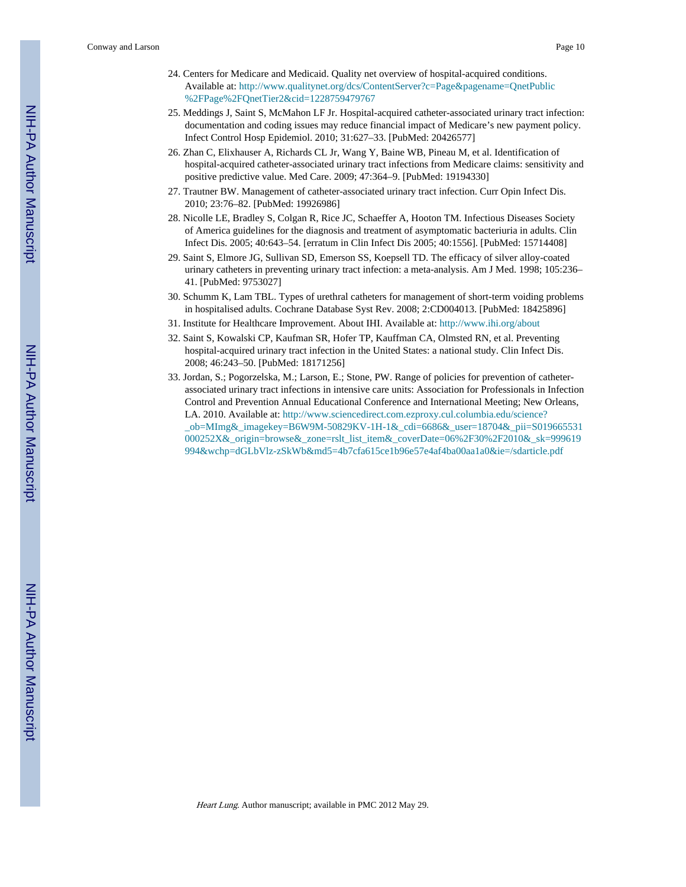Conway and Larson Page 10

- 24. Centers for Medicare and Medicaid. Quality net overview of hospital-acquired conditions. Available at: [http://www.qualitynet.org/dcs/ContentServer?c=Page&pagename=QnetPublic](http://www.qualitynet.org/dcs/ContentServer?c=Page&pagename=QnetPublic%2FPage%2FQnetTier2&cid=1228759479767) [%2FPage%2FQnetTier2&cid=1228759479767](http://www.qualitynet.org/dcs/ContentServer?c=Page&pagename=QnetPublic%2FPage%2FQnetTier2&cid=1228759479767)
- 25. Meddings J, Saint S, McMahon LF Jr. Hospital-acquired catheter-associated urinary tract infection: documentation and coding issues may reduce financial impact of Medicare's new payment policy. Infect Control Hosp Epidemiol. 2010; 31:627–33. [PubMed: 20426577]
- 26. Zhan C, Elixhauser A, Richards CL Jr, Wang Y, Baine WB, Pineau M, et al. Identification of hospital-acquired catheter-associated urinary tract infections from Medicare claims: sensitivity and positive predictive value. Med Care. 2009; 47:364–9. [PubMed: 19194330]
- 27. Trautner BW. Management of catheter-associated urinary tract infection. Curr Opin Infect Dis. 2010; 23:76–82. [PubMed: 19926986]
- 28. Nicolle LE, Bradley S, Colgan R, Rice JC, Schaeffer A, Hooton TM. Infectious Diseases Society of America guidelines for the diagnosis and treatment of asymptomatic bacteriuria in adults. Clin Infect Dis. 2005; 40:643–54. [erratum in Clin Infect Dis 2005; 40:1556]. [PubMed: 15714408]
- 29. Saint S, Elmore JG, Sullivan SD, Emerson SS, Koepsell TD. The efficacy of silver alloy-coated urinary catheters in preventing urinary tract infection: a meta-analysis. Am J Med. 1998; 105:236– 41. [PubMed: 9753027]
- 30. Schumm K, Lam TBL. Types of urethral catheters for management of short-term voiding problems in hospitalised adults. Cochrane Database Syst Rev. 2008; 2:CD004013. [PubMed: 18425896]
- 31. Institute for Healthcare Improvement. About IHI. Available at:<http://www.ihi.org/about>
- 32. Saint S, Kowalski CP, Kaufman SR, Hofer TP, Kauffman CA, Olmsted RN, et al. Preventing hospital-acquired urinary tract infection in the United States: a national study. Clin Infect Dis. 2008; 46:243–50. [PubMed: 18171256]
- 33. Jordan, S.; Pogorzelska, M.; Larson, E.; Stone, PW. Range of policies for prevention of catheterassociated urinary tract infections in intensive care units: Association for Professionals in Infection Control and Prevention Annual Educational Conference and International Meeting; New Orleans, LA. 2010. Available at: [http://www.sciencedirect.com.ezproxy.cul.columbia.edu/science?](http://www.sciencedirect.com.ezproxy.cul.columbia.edu/science?_ob=MImg&_imagekey=B6W9M-50829KV-1H-1&_cdi=6686&_user=18704&_pii=S019665531000252X&_origin=browse&_zone=rslt_list_item&_coverDate=06%2F30%2F2010&_sk=999619994&wchp=dGLbVlz-zSkWb&md5=4b7cfa615ce1b96e57e4af4ba00aa1a0&ie=/sdarticle.pdf) [\\_ob=MImg&\\_imagekey=B6W9M-50829KV-1H-1&\\_cdi=6686&\\_user=18704&\\_pii=S019665531](http://www.sciencedirect.com.ezproxy.cul.columbia.edu/science?_ob=MImg&_imagekey=B6W9M-50829KV-1H-1&_cdi=6686&_user=18704&_pii=S019665531000252X&_origin=browse&_zone=rslt_list_item&_coverDate=06%2F30%2F2010&_sk=999619994&wchp=dGLbVlz-zSkWb&md5=4b7cfa615ce1b96e57e4af4ba00aa1a0&ie=/sdarticle.pdf) [000252X&\\_origin=browse&\\_zone=rslt\\_list\\_item&\\_coverDate=06%2F30%2F2010&\\_sk=999619](http://www.sciencedirect.com.ezproxy.cul.columbia.edu/science?_ob=MImg&_imagekey=B6W9M-50829KV-1H-1&_cdi=6686&_user=18704&_pii=S019665531000252X&_origin=browse&_zone=rslt_list_item&_coverDate=06%2F30%2F2010&_sk=999619994&wchp=dGLbVlz-zSkWb&md5=4b7cfa615ce1b96e57e4af4ba00aa1a0&ie=/sdarticle.pdf) [994&wchp=dGLbVlz-zSkWb&md5=4b7cfa615ce1b96e57e4af4ba00aa1a0&ie=/sdarticle.pdf](http://www.sciencedirect.com.ezproxy.cul.columbia.edu/science?_ob=MImg&_imagekey=B6W9M-50829KV-1H-1&_cdi=6686&_user=18704&_pii=S019665531000252X&_origin=browse&_zone=rslt_list_item&_coverDate=06%2F30%2F2010&_sk=999619994&wchp=dGLbVlz-zSkWb&md5=4b7cfa615ce1b96e57e4af4ba00aa1a0&ie=/sdarticle.pdf)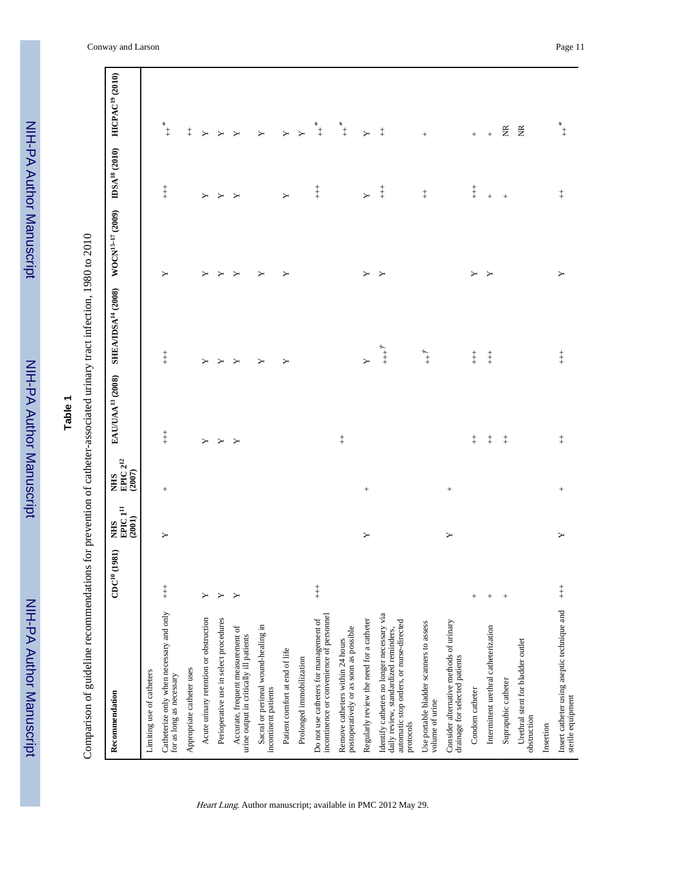# **Table 1**

Comparison of guideline recommendations for prevention of catheter-associated urinary tract infection, 1980 to 2010 Comparison of guideline recommendations for prevention of catheter-associated urinary tract infection, 1980 to 2010

| Recommendation                                                                                                                               | $CDC^{10}(1981)$ | EPIC <sub>1<sup>11</sup></sub><br>(2001)<br><b>NHIS</b> | ${\rm EPC}\,2^{12}$<br>(2007)<br><b>NHS</b> | EAU/UAA <sup>13</sup> (2008) | SHEA/IDSA <sup>14</sup> (2008) WOCN <sup>15-17</sup> (2009) IDSA <sup>18</sup> (2010) HICPAC <sup>19</sup> (2010) |         |                                            |                                            |
|----------------------------------------------------------------------------------------------------------------------------------------------|------------------|---------------------------------------------------------|---------------------------------------------|------------------------------|-------------------------------------------------------------------------------------------------------------------|---------|--------------------------------------------|--------------------------------------------|
| Limiting use of catheters                                                                                                                    |                  |                                                         |                                             |                              |                                                                                                                   |         |                                            |                                            |
| Catheterize only when necessary and only<br>for as long as necessary                                                                         | $\ddagger$       | $\blacktriangleright$                                   | $^{+}$                                      | $\ddagger$                   | $\ddagger$                                                                                                        | ≻       | $\ddagger$                                 | $\begin{array}{c} * \\ + \\ + \end{array}$ |
| Appropriate catheter uses                                                                                                                    |                  |                                                         |                                             |                              |                                                                                                                   |         |                                            | $\ddagger$                                 |
| Acute urinary retention or obstruction                                                                                                       | Υ                |                                                         |                                             | Υ                            | Υ                                                                                                                 | ≻       | Υ                                          | $\blacktriangleright$                      |
| Perioperative use in select procedures                                                                                                       | Υ                |                                                         |                                             | $\blacktriangleright$        | ≻                                                                                                                 | ≻       | Σ                                          | ≻                                          |
| Accurate, frequent measurement of<br>urine output in critically ill patients                                                                 | Y                |                                                         |                                             | $\mathbf{Y}$                 | ≻                                                                                                                 | ≻       | ≻                                          | ≻                                          |
| Sacral or perineal wound-healing in<br>incontinent patients                                                                                  |                  |                                                         |                                             |                              | Υ                                                                                                                 | ≻       |                                            | $\blacktriangleright$                      |
| Patient comfort at end of life                                                                                                               |                  |                                                         |                                             |                              | Y                                                                                                                 | ≻       | Υ                                          | Υ                                          |
| Prolonged immobilization                                                                                                                     |                  |                                                         |                                             |                              |                                                                                                                   |         |                                            |                                            |
| incontinence or convenience of personnel<br>Do not use catheters for management of                                                           | $+$              |                                                         |                                             |                              |                                                                                                                   |         | $\overset{+}{+}$                           | $\begin{array}{c} * \\ + \end{array}$      |
| postoperatively or as soon as possible<br>Remove catheters within 24 hours                                                                   |                  |                                                         |                                             | $\ddagger$                   |                                                                                                                   |         |                                            | $\begin{array}{c} * \\ + \end{array}$      |
| Regularly review the need for a catheter                                                                                                     |                  | Σ                                                       | $^{+}$                                      |                              | $\mathsf{Y}$                                                                                                      | Υ       | χ                                          | Υ                                          |
| Identify catheters no longer necessary via<br>automatic stop orders, or nurse-directed<br>daily review, standardized reminders,<br>protocols |                  |                                                         |                                             |                              | $\stackrel{+}{\scriptstyle +}$                                                                                    | $\succ$ | $\begin{array}{c} + \\ + \\ + \end{array}$ | $\ddagger$                                 |
| Use portable bladder scanners to assess<br>volume of urine                                                                                   |                  |                                                         |                                             |                              | $\stackrel{+}{+}$                                                                                                 |         | $\ddagger$                                 | $^{+}$                                     |
| Consider alternative methods of urinary<br>drainage for selected patients                                                                    |                  | Υ                                                       | $^{+}$                                      |                              |                                                                                                                   |         |                                            |                                            |
| Condom catheter                                                                                                                              | $^{+}$           |                                                         |                                             | $\ddagger$                   | $\overset{+}{+}$                                                                                                  | Υ       | $\overset{+}{+}$                           | $\! + \!$                                  |
| Intermittent urethral catheterization                                                                                                        |                  |                                                         |                                             | $\ddagger$                   | $\overset{+}{+}$                                                                                                  | Y       | $\qquad \qquad +$                          | $^{+}$                                     |
| Suprapubic catheter                                                                                                                          | $^{+}$           |                                                         |                                             | $\ddagger$                   |                                                                                                                   |         | $^{+}$                                     | $\widetilde{\Xi}$                          |
| Urethral stent for bladder outlet<br>obstruction                                                                                             |                  |                                                         |                                             |                              |                                                                                                                   |         |                                            | $\widetilde{\Xi}$                          |
| Insertion                                                                                                                                    |                  |                                                         |                                             |                              |                                                                                                                   |         |                                            |                                            |
| Insert catheter using aseptic technique and<br>sterile equipment                                                                             | $\ddagger$       | ≻                                                       | $^{+}$                                      | $\ddagger$                   | $\ddagger$                                                                                                        | ≻       | $\ddagger$                                 | $\begin{array}{c} * \\ + \\ + \end{array}$ |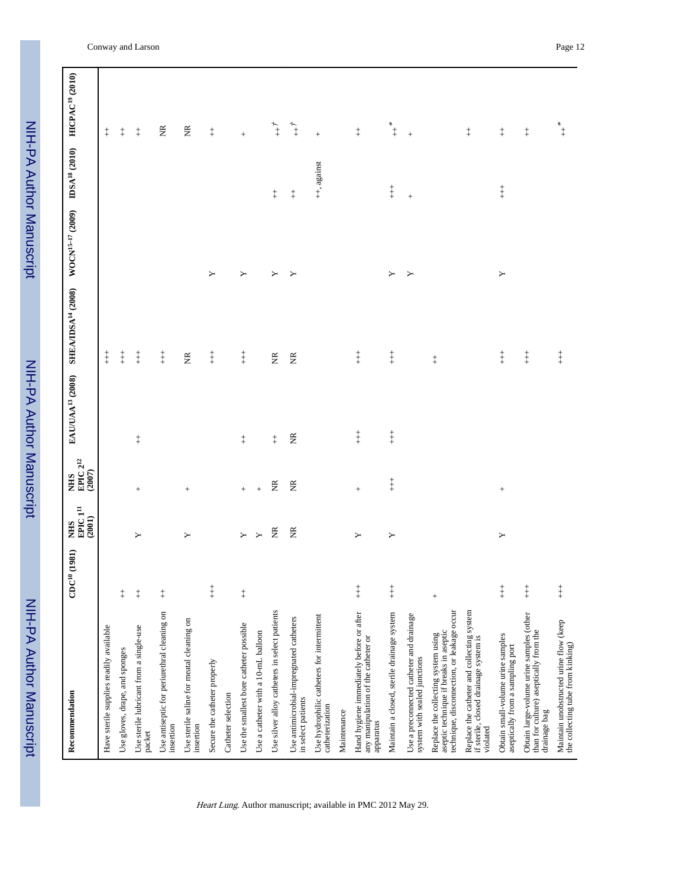NIH-PA Author Manuscript NIH-PA Author Manuscript

 NIH-PA Author ManuscriptNIH-PA Author Manuscript

| Recommendation                                                                                                              | $CDC^{10}(1981)$                      | $\rm EPC1^{11}$<br>(2001)<br><b>SHIN</b> | NHS<br>EPIC 2 <sup>12</sup><br>(2007) | EAU/UAA <sup>13</sup> (2008) | SHEA/IDSA <sup>14</sup> (2008) WOCN <sup>15-17</sup> (2009) |   | $\text{IDSA}^{\text{18}}$ (2010) | HICPAC <sup>19</sup> (2010)                |
|-----------------------------------------------------------------------------------------------------------------------------|---------------------------------------|------------------------------------------|---------------------------------------|------------------------------|-------------------------------------------------------------|---|----------------------------------|--------------------------------------------|
| Have sterile supplies readily available                                                                                     |                                       |                                          |                                       |                              | $\ddagger$                                                  |   |                                  | $\,^+_\mathrm{+}$                          |
| Use gloves, drape, and sponges                                                                                              | $\ddagger$                            |                                          |                                       |                              | $\overset{+}{+}$                                            |   |                                  | $\ddagger$                                 |
| Use sterile lubricant from a single-use<br>packet                                                                           | $\begin{array}{c} + \end{array}$      | Y                                        | $\! + \!\!\!\!$                       | $\ddagger$                   | $\overset{+}{+}$                                            |   |                                  | $\ddagger$                                 |
| Use antiseptic for periurethral cleaning on<br>insertion                                                                    | $\ddagger$                            |                                          |                                       |                              | $\overset{+}{+}$                                            |   |                                  | $\widetilde{\Xi}$                          |
| Use sterile saline for meatal cleaning on<br>insertion                                                                      |                                       | Υ                                        | $\! + \!\!\!\!$                       |                              | $\widetilde{\Xi}$                                           |   |                                  | $\widetilde{\Xi}$                          |
| Secure the catheter properly                                                                                                | $\begin{array}{c} + \\ + \end{array}$ |                                          |                                       |                              | $\overset{+}{+}$                                            | Υ |                                  | $_+^+$                                     |
| Catheter selection                                                                                                          |                                       |                                          |                                       |                              |                                                             |   |                                  |                                            |
| Use the smallest bore catheter possible                                                                                     | $\ddagger$                            | $\geq$                                   | $+$                                   | $\ddagger$                   | $\overset{+}{+}$                                            | Y |                                  | $^{+}$                                     |
| Use a catheter with a 10-mL balloon                                                                                         |                                       | $\mathbf{y}$                             | $\! +$                                |                              |                                                             |   |                                  |                                            |
| Use silver alloy catheters in select patients                                                                               |                                       | $\widetilde{\Xi}$                        | $\widetilde{\Xi}$                     | $\ddagger$                   | $\widetilde{\Xi}$                                           | Σ | $\ddagger$                       | $\stackrel{+}{+}$                          |
| Use antimicrobial-impregnated catheters<br>in select patients                                                               |                                       | E                                        | E                                     | $\widetilde{\Xi}$            | $\widetilde{\Xi}$                                           | ≻ | $\ddagger$                       | $\stackrel{+}{+}$                          |
| Use hydrophilic catheters for intermittent<br>catheterization                                                               |                                       |                                          |                                       |                              |                                                             |   | ++, against                      | $^+$                                       |
| Maintenance                                                                                                                 |                                       |                                          |                                       |                              |                                                             |   |                                  |                                            |
| Hand hygiene immediately before or after<br>any manipulation of the catheter or<br>apparatus                                | $\ddagger$                            | $\blacktriangleright$                    | $^+$                                  | $\ddagger$                   | $\ddagger$                                                  |   |                                  | $\ddagger$                                 |
| Maintain a closed, sterile drainage system                                                                                  | $\ddagger$                            | Σ                                        | $\ddagger$                            | $\ddagger$                   | $\overset{+}{+}$                                            | Υ | $\overset{+}{+}$                 | $\begin{array}{c} * \\ + \\ + \end{array}$ |
| Use a preconnected catheter and drainage<br>system with sealed junctions                                                    |                                       |                                          |                                       |                              |                                                             | Y | $\qquad \qquad +$                | $\,$ + $\,$                                |
| technique, disconnection, or leakage occur<br>aseptic technique if breaks in aseptic<br>Replace the collecting system using | $\! + \!$                             |                                          |                                       |                              | $\ddagger$                                                  |   |                                  |                                            |
| Replace the catheter and collecting system<br>if sterile, closed drainage system is<br>violated                             |                                       |                                          |                                       |                              |                                                             |   |                                  | $\ddagger$                                 |
| Obtain small-volume urine samples<br>aseptically from a sampling port                                                       | $\ddagger$                            | Σ                                        | $\! + \!\!\!\!$                       |                              | $\overset{+}{+}$                                            | Y | $\overset{+}{+}$                 | $\ddagger$                                 |
| Obtain large-volume urine samples (other<br>than for culture) aseptically from the<br>drainage bag                          | $+$                                   |                                          |                                       |                              | $\ddagger$                                                  |   |                                  | $\ddagger$                                 |
| Maintain unobstructed urine flow (keep<br>the collecting tube from kinking)                                                 | $+$                                   |                                          |                                       |                              | $\ddagger$                                                  |   |                                  | $\stackrel{*}{+}$                          |

Conway and Larson Page 12

Т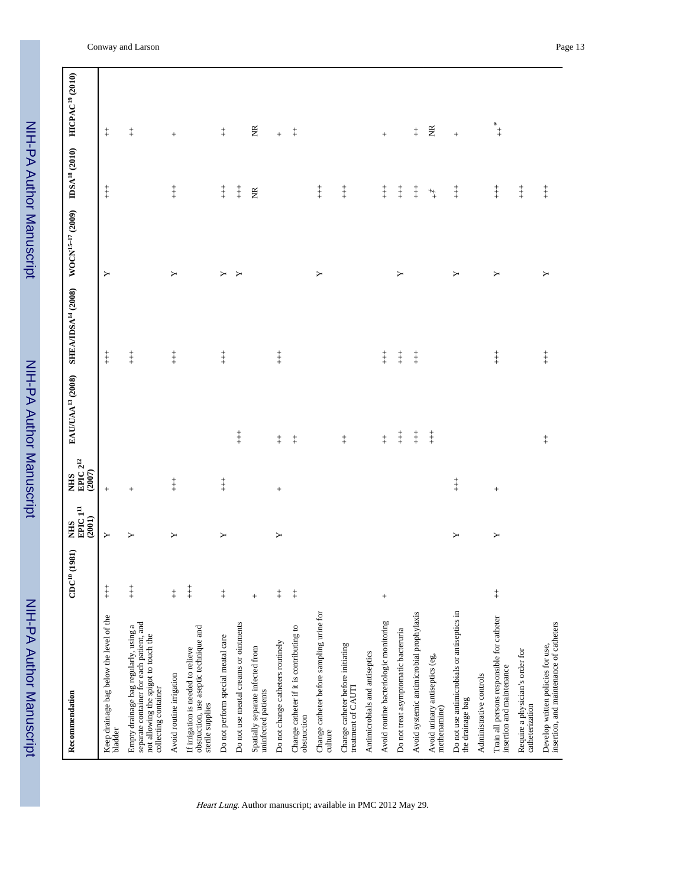NIH-PA Author Manuscript NIH-PA Author Manuscript

 NIH-PA Author ManuscriptNIH-PA Author Manuscript

| Recommendation                                                                                                                                    | $CDC^{10}(1981)$                 | NHS<br>EPIC 1 <sup>11</sup><br>(2001) | NHS<br>EPIC 2 <sup>12</sup><br>(2007) |            | EAU/UAA <sup>13</sup> (2008) SHEA/IDSA <sup>14</sup> (2008) WOCN <sup>15-17</sup> (2009) |   | $\text{IDSA}^{\,18}\, (2010)$ | <b>HICPAC<sup>19</sup></b> (2010)          |
|---------------------------------------------------------------------------------------------------------------------------------------------------|----------------------------------|---------------------------------------|---------------------------------------|------------|------------------------------------------------------------------------------------------|---|-------------------------------|--------------------------------------------|
| Keep drainage bag below the level of the<br>bladder                                                                                               | $+$                              | Υ                                     | $^+$                                  |            | $\ddagger$                                                                               | Y | $\ddagger$                    | $_+^+$                                     |
| separate container for each patient, and<br>Empty drainage bag regularly, using a<br>not allowing the spigot to touch the<br>collecting container | $\ddagger$                       | Υ                                     | $\qquad \qquad +$                     |            | $\overset{+}{+}$                                                                         |   |                               | $\ddagger$                                 |
| Avoid routine irrigation                                                                                                                          | $\ddagger$                       | Υ                                     | $\ddagger$                            |            | $\overset{+}{+}$                                                                         | Y | $\overset{+}{+}$              | $\! + \!\!\!\!$                            |
| obstruction, use aseptic technique and<br>If irrigation is needed to relieve<br>sterile supplies                                                  | $\ddagger$                       |                                       |                                       |            |                                                                                          |   |                               |                                            |
| Do not perform special meatal care                                                                                                                | $\ddagger$                       | Υ                                     | $\ddagger$                            |            | $\overset{+}{+}$                                                                         | Y | $\overset{+}{+}$              | $_+^+$                                     |
| Do not use meatal creams or ointments                                                                                                             |                                  |                                       |                                       | $\ddagger$ |                                                                                          | Y | $\overset{+}{+}$              |                                            |
| Spatially separate infected from<br>uninfected patients                                                                                           | $^{+}$                           |                                       |                                       |            |                                                                                          |   | $\widetilde{\Xi}$             | $\widetilde{\Xi}$                          |
| Do not change catheters routinely                                                                                                                 | $\begin{array}{c} + \end{array}$ | Υ                                     |                                       | $\ddagger$ | $\overset{+}{+}$                                                                         |   |                               | $\ddag$                                    |
| Change catheter if it is contributing to<br>obstruction                                                                                           | $\ddagger$                       |                                       |                                       | $\ddagger$ |                                                                                          |   |                               | $\ddagger$                                 |
| Change catheter before sampling urine for<br>culture                                                                                              |                                  |                                       |                                       |            |                                                                                          | ≻ | $\overset{+}{+}$              |                                            |
| Change catheter before initiating<br>treatment of CAUTI                                                                                           |                                  |                                       |                                       | $\ddagger$ |                                                                                          |   | $\overset{+}{+}$              |                                            |
| Antimicrobials and antiseptics                                                                                                                    |                                  |                                       |                                       |            |                                                                                          |   |                               |                                            |
| Avoid routine bacteriologic monitoring                                                                                                            | $+$                              |                                       |                                       | $\ddagger$ | $\overset{+}{+}$                                                                         |   | $\ddagger$                    | $^+$                                       |
| Do not treat asymptomatic bacteruria                                                                                                              |                                  |                                       |                                       | $\ddagger$ | $\ddagger$                                                                               | ≻ | $\overset{+}{+}$              |                                            |
| Avoid systemic antimicrobial prophylaxis                                                                                                          |                                  |                                       |                                       | $\ddagger$ | $\overset{+}{+}$                                                                         |   | $\overset{+}{+}$              | $\ddagger$                                 |
| Avoid urinary antiseptics (eg,<br>methenamine)                                                                                                    |                                  |                                       |                                       | $\ddagger$ |                                                                                          |   | $\stackrel{+}{\rightarrow}$   | $\widetilde{\Xi}$                          |
| Do not use antimicrobials or antiseptics in<br>the drainage bag                                                                                   |                                  | Υ                                     | $\ddagger$                            |            |                                                                                          | ≻ | $\ddagger$                    | $\! + \!$                                  |
| Administrative controls                                                                                                                           |                                  |                                       |                                       |            |                                                                                          |   |                               |                                            |
| Train all persons responsible for catheter<br>insertion and maintenance                                                                           | $\ddagger$                       | Y                                     |                                       |            | $\overset{+}{+}$                                                                         | ≻ | $\overset{+}{+}$              | $\begin{array}{c} * \\ * \\ + \end{array}$ |
| Require a physician's order for<br>catheterization                                                                                                |                                  |                                       |                                       |            |                                                                                          |   | $\ddagger$                    |                                            |
| insertion, and maintenance of catheters<br>Develop written policies for use,                                                                      |                                  |                                       |                                       | $\ddagger$ | $\overset{+}{+}$                                                                         | Y | $\overset{+}{+}$              |                                            |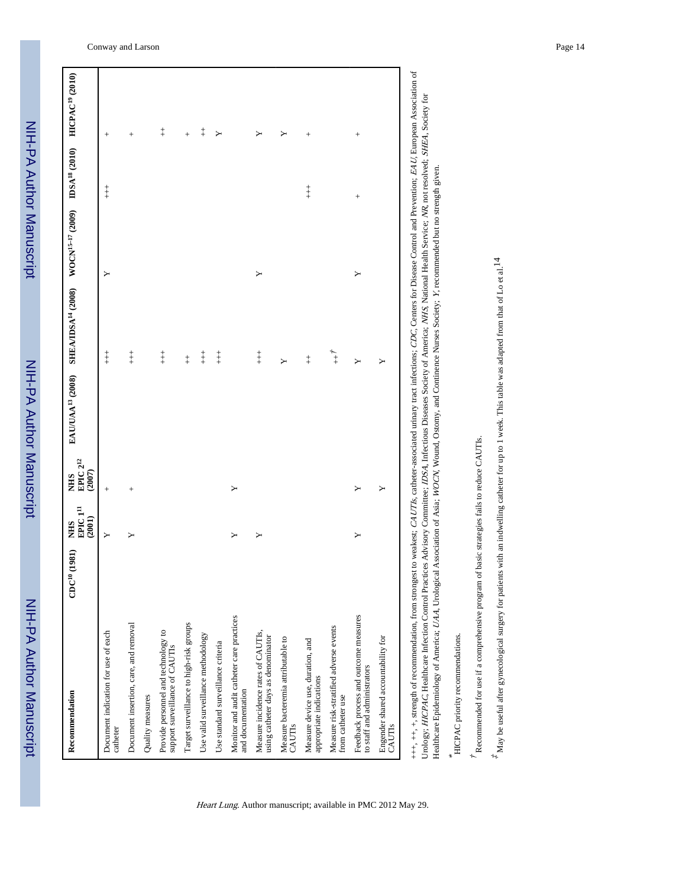NIH-PA Author Manuscript NIH-PA Author Manuscript

| Recommendation                                                           | $CDC^{10}(1981)$ | $\mathbf{E}\mathbf{PIC}\,\mathbf{1}^\mathbf{II}$<br>(2001)<br><b>SHIN</b> | EPIC $2^{12}$<br>(2007)<br><b>NHS</b> |                      | EAU/UAA <sup>13</sup> (2008) SHEA/IDSA <sup>14</sup> (2008) WOCN <sup>15-17</sup> (2009) IDSA <sup>18</sup> (2010) HICPAC <sup>19</sup> (2010) |   |            |            |
|--------------------------------------------------------------------------|------------------|---------------------------------------------------------------------------|---------------------------------------|----------------------|------------------------------------------------------------------------------------------------------------------------------------------------|---|------------|------------|
| Document indication for use of each<br>catheter                          |                  | ≻                                                                         | $^{+}$                                |                      | $\ddagger$                                                                                                                                     | ≻ | $\ddagger$ | $^{+}$     |
| Document insertion, care, and removal                                    |                  | ≻                                                                         | $^{+}$                                |                      | $\begin{array}{c} + \\ + \end{array}$                                                                                                          |   |            | $^{+}$     |
| Quality measures                                                         |                  |                                                                           |                                       |                      |                                                                                                                                                |   |            |            |
| Provide personnel and technology to<br>support surveillance of CAUTIs    |                  |                                                                           |                                       |                      | $\begin{array}{c} + \\ + \\ + \end{array}$                                                                                                     |   |            | $\ddagger$ |
| Target surveillance to high-risk groups                                  |                  |                                                                           |                                       |                      | $\ddagger$                                                                                                                                     |   |            | $^{+}$     |
| Use valid surveillance methodology                                       |                  |                                                                           |                                       |                      | $+$                                                                                                                                            |   |            | $\ddagger$ |
| Use standard surveillance criteria                                       |                  |                                                                           |                                       |                      | $+$                                                                                                                                            |   |            | ≻          |
| Monitor and audit catheter care practices<br>and documentation           |                  |                                                                           | Υ                                     |                      |                                                                                                                                                |   |            |            |
| Measure incidence rates of CAUTIs,<br>using catheter days as denominator |                  | ≻                                                                         |                                       |                      | $\begin{array}{c} + \\ + \end{array}$                                                                                                          | Y |            |            |
| Measure bacteremia attributable to<br>CAUTIS                             |                  |                                                                           |                                       |                      | Υ                                                                                                                                              |   |            |            |
| Measure device use, duration, and<br>appropriate indications             |                  |                                                                           |                                       |                      | $\ddagger$                                                                                                                                     |   | $\ddagger$ | $^{+}$     |
| Measure risk-stratified adverse events<br>from catheter use              |                  |                                                                           |                                       |                      | $+$ <sup>+</sup>                                                                                                                               |   |            |            |
| Feedback process and outcome measures<br>to staff and administrators     |                  |                                                                           | ≻                                     |                      | ≻                                                                                                                                              | ≻ | $^{+}$     | $^{+}$     |
| Engender shared accountability for<br><b>CAUTIS</b>                      |                  |                                                                           | Υ                                     |                      | ≻                                                                                                                                              |   |            |            |
|                                                                          |                  |                                                                           |                                       | $\ddot{\phantom{0}}$ |                                                                                                                                                |   |            |            |

+++, ++, strength of recommendation, from strongest to weakest; CAUTIs, catheter-associated urinary tract infections; CDC, Centers for Disease Control and Prevention; EAU, European Association of +++, ++, +, strength of recommendation, from strongest to weakest; CAUTIs, catheter-associated urinary tract infections; CDC, Centers for Disease Control and Prevention; EAU, European Association of Urology; HICPAC, Healthcare Infection Control Practices Advisory Committee; IDSA, Infectious Diseases Society of America; NHS, National Health Service; NR, not resolved; SHEA, Society for Urology; HICPAC, Healthcare Infection Control Practices Advisory Committee; IDSA, Infectious Diseases Society of America; NHS, National Health Service; NR, not resolved; SHEA, Society for Healthcare Epidemiology of America; UAA, Urological Association of Asia; WOCN, Wound, Ostomy, and Continence Nurses Society; Y, recommended but no strength given. Y, recommended but no strength given. Healthcare Epidemiology of America; UAA, Urological Association of Asia; WOCN, Wound, Ostomy, and Continence Nurses Society;

\* HICPAC priority recommendations. HICPAC priority recommendations.

 $^{\prime}$  Recommended for use if a comprehensive program of basic strategies fails to reduce CAUTIs.  $^{\star}$ Recommended for use if a comprehensive program of basic strategies fails to reduce CAUTIs.

 $*$  May be useful after gynecological surgery for patients with an indwelling catheter for up to 1 week. This table was adapted from that of Lo et al. 14  $^*$  May be useful after gynecological surgery for patients with an indwelling catheter for up to 1 week. This table was adapted from that of Lo et al.14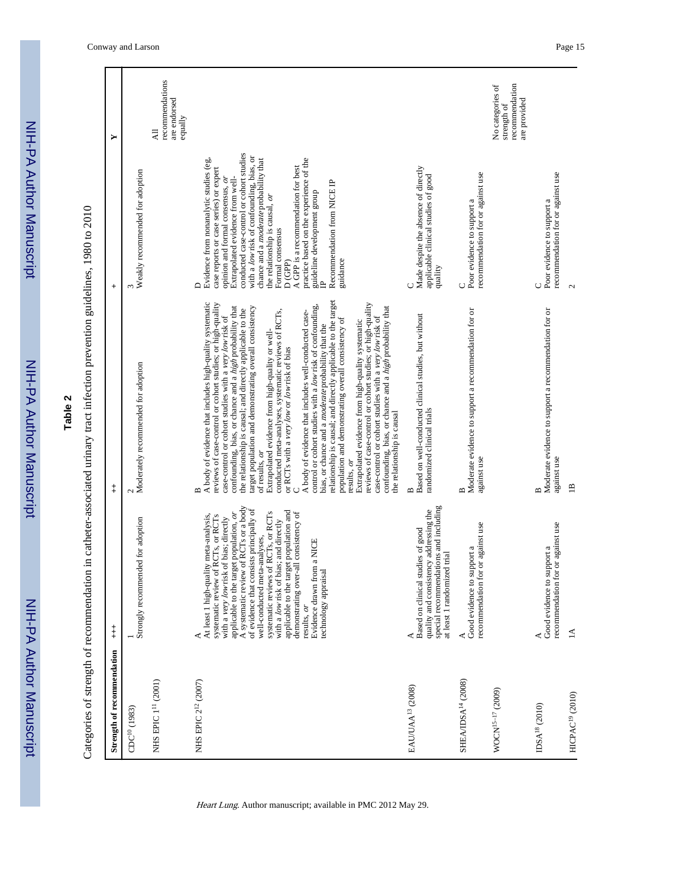| $\sum_{i=1}^{n}$ |
|------------------|
|                  |
|                  |
|                  |
|                  |
|                  |
|                  |
|                  |
|                  |
| <u>ופו</u>       |
|                  |
|                  |
|                  |
|                  |
| i                |
|                  |
|                  |
|                  |
| :<br>:<br>:      |
|                  |
|                  |
|                  |
|                  |
|                  |
|                  |
|                  |

**Table 2**

Categories of strength of recommendation in catheter-associated urinary tract infection prevention guidelines, 1980 to 2010 Categories of strength of recommendation in catheter-associated urinary tract infection prevention guidelines, 1980 to 2010

| Strength of recommendation      | $\ddagger$                                                                                                                                                                                                                                                                                                                                                                                                                                                                                                                             | $\ddagger$                                                                                                                                                                                                                                                                                                                                                                                                                                                                                                                                                                                                                                                                                                                                                                                                                                                                                                                                                                                                                                                                                                                                                                        | $^{+}$                                                                                                                                                                                                                                                                                                                                                                                                                                                                                                                            | ≻                                                                 |
|---------------------------------|----------------------------------------------------------------------------------------------------------------------------------------------------------------------------------------------------------------------------------------------------------------------------------------------------------------------------------------------------------------------------------------------------------------------------------------------------------------------------------------------------------------------------------------|-----------------------------------------------------------------------------------------------------------------------------------------------------------------------------------------------------------------------------------------------------------------------------------------------------------------------------------------------------------------------------------------------------------------------------------------------------------------------------------------------------------------------------------------------------------------------------------------------------------------------------------------------------------------------------------------------------------------------------------------------------------------------------------------------------------------------------------------------------------------------------------------------------------------------------------------------------------------------------------------------------------------------------------------------------------------------------------------------------------------------------------------------------------------------------------|-----------------------------------------------------------------------------------------------------------------------------------------------------------------------------------------------------------------------------------------------------------------------------------------------------------------------------------------------------------------------------------------------------------------------------------------------------------------------------------------------------------------------------------|-------------------------------------------------------------------|
| $CDC^{10}(1983)$                | Strongly recommended for adoption                                                                                                                                                                                                                                                                                                                                                                                                                                                                                                      | Moderately recommended for adoption                                                                                                                                                                                                                                                                                                                                                                                                                                                                                                                                                                                                                                                                                                                                                                                                                                                                                                                                                                                                                                                                                                                                               | Weakly recommended for adoption                                                                                                                                                                                                                                                                                                                                                                                                                                                                                                   |                                                                   |
| NHS EPIC 1 <sup>11</sup> (2001) |                                                                                                                                                                                                                                                                                                                                                                                                                                                                                                                                        |                                                                                                                                                                                                                                                                                                                                                                                                                                                                                                                                                                                                                                                                                                                                                                                                                                                                                                                                                                                                                                                                                                                                                                                   |                                                                                                                                                                                                                                                                                                                                                                                                                                                                                                                                   | recommendations<br>are endorsed<br>equally<br>$\overline{A}$      |
| NHS EPIC 2 <sup>12</sup> (2007) | A systematic review of RCTs or a body<br>of evidence that consists principally of<br>applicable to the target population and<br>applicable to the target population, or<br>systematic reviews of RCTs, or RCTs<br>demonstrating over-all consistency of<br>RCTs, or RCTs<br>At least 1 high-quality meta-analysis,<br>with a very low risk of bias; directly<br>with a low risk of bias; and directly<br>well-conducted meta-analyses,<br>a NICE<br>Evidence drawn from<br>systematic review of<br>technology appraisal<br>results, or | relationship is causal; and directly applicable to the target<br>A body of evidence that includes high-quality systematic<br>reviews of case-control or cohort studies; or high-quality<br>reviews of case-control or cohort studies; or high-quality<br>control or cohort studies with a low risk of confounding,<br>confounding, bias, or chance and a high probability that<br>target population and demonstrating overall consistency<br>confounding, bias, or chance and a <i>high</i> probability that<br>the relationship is causal; and directly applicable to the<br>conducted meta-analyses, systematic reviews of RCTs,<br>A body of evidence that includes well-conducted case-<br>case-control or cohort studies with a very low risk of<br>case-control or cohort studies with a very low risk of<br>population and demonstrating overall consistency of<br>Extrapolated evidence from high-quality systematic<br>bias, or chance and a <i>moderate</i> probability that the<br>Extrapolated evidence from high-quality or well-<br>or RCTs with a very low or low risk of bias<br>the relationship is causal<br>of results, or<br>results, or<br>Ü<br>$\mathbf{a}$ | conducted case-control or cohort studies<br>with a low risk of confounding, bias, or<br>Evidence from nonanalytic studies (eg,<br>chance and a <i>moderate</i> probability that<br>practice based on the experience of the<br>A GPP is a recommendation for best<br>case reports or case series) or expert<br>opinion and formal consensus, or<br>Extrapolated evidence from well-<br>Recommendation from NICE IP<br>guideline development group<br>the relationship is causal, or<br>Formal consensus<br>D(GPP)<br>guidance<br>≏ |                                                                   |
| EAU/UAA <sup>13</sup> (2008)    | special recommendations and including<br>quality and consistency addressing the<br>Based on clinical studies of good<br>trial<br>at least 1 randomized                                                                                                                                                                                                                                                                                                                                                                                 | Based on well-conducted clinical studies, but without<br>randomized clinical trials<br>⋍                                                                                                                                                                                                                                                                                                                                                                                                                                                                                                                                                                                                                                                                                                                                                                                                                                                                                                                                                                                                                                                                                          | Made despite the absence of directly<br>applicable clinical studies of good<br>quality<br>Ò                                                                                                                                                                                                                                                                                                                                                                                                                                       |                                                                   |
| SHEA/IDSA <sup>14</sup> (2008)  | recommendation for or against use<br>Good evidence to support a                                                                                                                                                                                                                                                                                                                                                                                                                                                                        | Moderate evidence to support a recommendation for or<br>against use<br>$\mathbf{a}$                                                                                                                                                                                                                                                                                                                                                                                                                                                                                                                                                                                                                                                                                                                                                                                                                                                                                                                                                                                                                                                                                               | recommendation for or against use<br>Poor evidence to support a<br>Õ                                                                                                                                                                                                                                                                                                                                                                                                                                                              |                                                                   |
| WOCN <sup>15-17</sup> (2009)    |                                                                                                                                                                                                                                                                                                                                                                                                                                                                                                                                        |                                                                                                                                                                                                                                                                                                                                                                                                                                                                                                                                                                                                                                                                                                                                                                                                                                                                                                                                                                                                                                                                                                                                                                                   |                                                                                                                                                                                                                                                                                                                                                                                                                                                                                                                                   | No categories of<br>recommendation<br>are provided<br>strength of |
| IDSA <sup>18</sup> (2010)       | recommendation for or against use<br>Good evidence to support a                                                                                                                                                                                                                                                                                                                                                                                                                                                                        | Moderate evidence to support a recommendation for or<br>against use                                                                                                                                                                                                                                                                                                                                                                                                                                                                                                                                                                                                                                                                                                                                                                                                                                                                                                                                                                                                                                                                                                               | recommendation for or against use<br>Poor evidence to support a<br>ပ                                                                                                                                                                                                                                                                                                                                                                                                                                                              |                                                                   |
| HICPAC <sup>19</sup> (2010)     | $\preceq$                                                                                                                                                                                                                                                                                                                                                                                                                                                                                                                              | $\mathbf{B}$                                                                                                                                                                                                                                                                                                                                                                                                                                                                                                                                                                                                                                                                                                                                                                                                                                                                                                                                                                                                                                                                                                                                                                      | $\mathbf{\Omega}$                                                                                                                                                                                                                                                                                                                                                                                                                                                                                                                 |                                                                   |